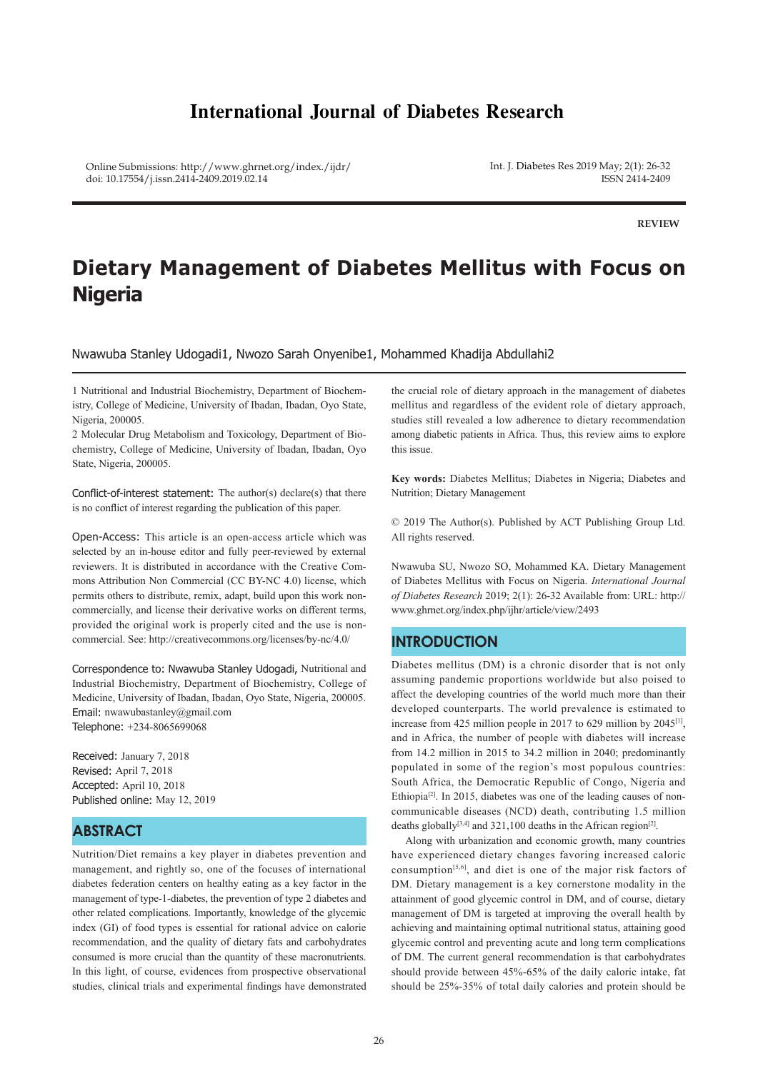# **International Journal of Diabetes Research**

Online Submissions: http://www.ghrnet.org/index./ijdr/ doi: 10.17554/j.issn.2414-2409.2019.02.14

Int. J. Diabetes Res 2019 May; 2(1): 26-32 ISSN 2414-2409

**REVIEW**

# **Dietary Management of Diabetes Mellitus with Focus on Nigeria**

Nwawuba Stanley Udogadi1, Nwozo Sarah Onyenibe1, Mohammed Khadija Abdullahi2

1 Nutritional and Industrial Biochemistry, Department of Biochemistry, College of Medicine, University of Ibadan, Ibadan, Oyo State, Nigeria, 200005.

2 Molecular Drug Metabolism and Toxicology, Department of Biochemistry, College of Medicine, University of Ibadan, Ibadan, Oyo State, Nigeria, 200005.

Conflict-of-interest statement: The author(s) declare(s) that there is no conflict of interest regarding the publication of this paper.

Open-Access: This article is an open-access article which was selected by an in-house editor and fully peer-reviewed by external reviewers. It is distributed in accordance with the Creative Commons Attribution Non Commercial (CC BY-NC 4.0) license, which permits others to distribute, remix, adapt, build upon this work noncommercially, and license their derivative works on different terms, provided the original work is properly cited and the use is noncommercial. See: http://creativecommons.org/licenses/by-nc/4.0/

Correspondence to: Nwawuba Stanley Udogadi, Nutritional and Industrial Biochemistry, Department of Biochemistry, College of Medicine, University of Ibadan, Ibadan, Oyo State, Nigeria, 200005. Email: nwawubastanley@gmail.com Telephone: +234-8065699068

Received: January 7, 2018 Revised: April 7, 2018 Accepted: April 10, 2018 Published online: May 12, 2019

# **ABSTRACT**

Nutrition/Diet remains a key player in diabetes prevention and management, and rightly so, one of the focuses of international diabetes federation centers on healthy eating as a key factor in the management of type-1-diabetes, the prevention of type 2 diabetes and other related complications. Importantly, knowledge of the glycemic index (GI) of food types is essential for rational advice on calorie recommendation, and the quality of dietary fats and carbohydrates consumed is more crucial than the quantity of these macronutrients. In this light, of course, evidences from prospective observational studies, clinical trials and experimental findings have demonstrated

the crucial role of dietary approach in the management of diabetes mellitus and regardless of the evident role of dietary approach, studies still revealed a low adherence to dietary recommendation among diabetic patients in Africa. Thus, this review aims to explore this issue.

**Key words:** Diabetes Mellitus; Diabetes in Nigeria; Diabetes and Nutrition; Dietary Management

© 2019 The Author(s). Published by ACT Publishing Group Ltd. All rights reserved.

Nwawuba SU, Nwozo SO, Mohammed KA. Dietary Management of Diabetes Mellitus with Focus on Nigeria. *International Journal of Diabetes Research* 2019; 2(1): 26-32 Available from: URL: http:// www.ghrnet.org/index.php/ijhr/article/view/2493

### **INTRODUCTION**

Diabetes mellitus (DM) is a chronic disorder that is not only assuming pandemic proportions worldwide but also poised to affect the developing countries of the world much more than their developed counterparts. The world prevalence is estimated to increase from 425 million people in 2017 to 629 million by 2045[1], and in Africa, the number of people with diabetes will increase from 14.2 million in 2015 to 34.2 million in 2040; predominantly populated in some of the region's most populous countries: South Africa, the Democratic Republic of Congo, Nigeria and Ethiopia<sup>[2]</sup>. In 2015, diabetes was one of the leading causes of noncommunicable diseases (NCD) death, contributing 1.5 million deaths globally<sup>[3,4]</sup> and 321,100 deaths in the African region<sup>[2]</sup>.

 Along with urbanization and economic growth, many countries have experienced dietary changes favoring increased caloric consumption[5,6], and diet is one of the major risk factors of DM. Dietary management is a key cornerstone modality in the attainment of good glycemic control in DM, and of course, dietary management of DM is targeted at improving the overall health by achieving and maintaining optimal nutritional status, attaining good glycemic control and preventing acute and long term complications of DM. The current general recommendation is that carbohydrates should provide between 45%-65% of the daily caloric intake, fat should be 25%-35% of total daily calories and protein should be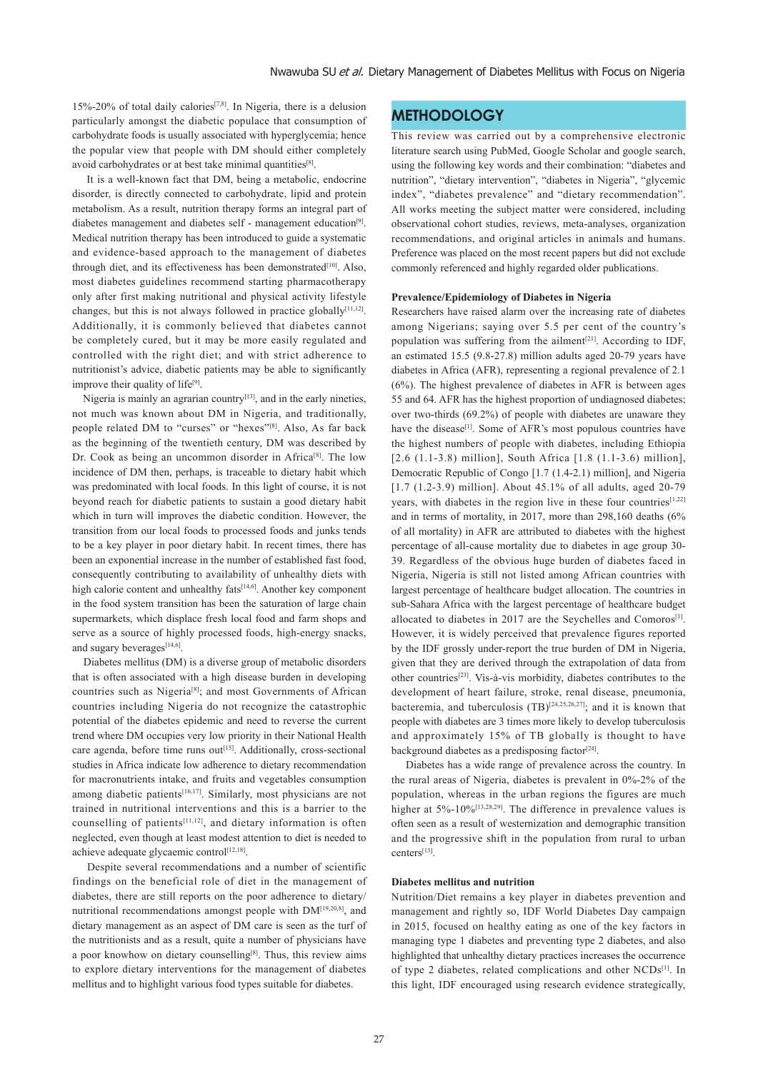$15\% - 20\%$  of total daily calories<sup>[7,8]</sup>. In Nigeria, there is a delusion particularly amongst the diabetic populace that consumption of carbohydrate foods is usually associated with hyperglycemia; hence the popular view that people with DM should either completely avoid carbohydrates or at best take minimal quantities<sup>[8]</sup>.

 It is a well-known fact that DM, being a metabolic, endocrine disorder, is directly connected to carbohydrate, lipid and protein metabolism. As a result, nutrition therapy forms an integral part of diabetes management and diabetes self - management education<sup>[9]</sup>. Medical nutrition therapy has been introduced to guide a systematic and evidence-based approach to the management of diabetes through diet, and its effectiveness has been demonstrated<sup>[10]</sup>. Also, most diabetes guidelines recommend starting pharmacotherapy only after first making nutritional and physical activity lifestyle changes, but this is not always followed in practice globally $[11,12]$ . Additionally, it is commonly believed that diabetes cannot be completely cured, but it may be more easily regulated and controlled with the right diet; and with strict adherence to nutritionist's advice, diabetic patients may be able to significantly improve their quality of life<sup>[9]</sup>.

Nigeria is mainly an agrarian country<sup>[13]</sup>, and in the early nineties, not much was known about DM in Nigeria, and traditionally, people related DM to "curses" or "hexes"[8]. Also, As far back as the beginning of the twentieth century, DM was described by Dr. Cook as being an uncommon disorder in Africa<sup>[8]</sup>. The low incidence of DM then, perhaps, is traceable to dietary habit which was predominated with local foods. In this light of course, it is not beyond reach for diabetic patients to sustain a good dietary habit which in turn will improves the diabetic condition. However, the transition from our local foods to processed foods and junks tends to be a key player in poor dietary habit. In recent times, there has been an exponential increase in the number of established fast food, consequently contributing to availability of unhealthy diets with high calorie content and unhealthy fats<sup>[14,6]</sup>. Another key component in the food system transition has been the saturation of large chain supermarkets, which displace fresh local food and farm shops and serve as a source of highly processed foods, high-energy snacks, and sugary beverages[14,6].

 Diabetes mellitus (DM) is a diverse group of metabolic disorders that is often associated with a high disease burden in developing countries such as Nigeria<sup>[8]</sup>; and most Governments of African countries including Nigeria do not recognize the catastrophic potential of the diabetes epidemic and need to reverse the current trend where DM occupies very low priority in their National Health care agenda, before time runs out<sup>[15]</sup>. Additionally, cross-sectional studies in Africa indicate low adherence to dietary recommendation for macronutrients intake, and fruits and vegetables consumption among diabetic patients<sup>[16,17]</sup>. Similarly, most physicians are not trained in nutritional interventions and this is a barrier to the counselling of patients[11,12], and dietary information is often neglected, even though at least modest attention to diet is needed to achieve adequate glycaemic control<sup>[12,18]</sup>.

 Despite several recommendations and a number of scientific findings on the beneficial role of diet in the management of diabetes, there are still reports on the poor adherence to dietary/ nutritional recommendations amongst people with DM[19,20,8], and dietary management as an aspect of DM care is seen as the turf of the nutritionists and as a result, quite a number of physicians have a poor knowhow on dietary counselling[8]. Thus, this review aims to explore dietary interventions for the management of diabetes mellitus and to highlight various food types suitable for diabetes.

## **METHODOLOGY**

This review was carried out by a comprehensive electronic literature search using PubMed, Google Scholar and google search, using the following key words and their combination: "diabetes and nutrition", "dietary intervention", "diabetes in Nigeria", "glycemic index", "diabetes prevalence" and "dietary recommendation". All works meeting the subject matter were considered, including observational cohort studies, reviews, meta-analyses, organization recommendations, and original articles in animals and humans. Preference was placed on the most recent papers but did not exclude commonly referenced and highly regarded older publications.

#### **Prevalence/Epidemiology of Diabetes in Nigeria**

Researchers have raised alarm over the increasing rate of diabetes among Nigerians; saying over 5.5 per cent of the country's population was suffering from the ailment<sup>[21]</sup>. According to IDF, an estimated 15.5 (9.8-27.8) million adults aged 20-79 years have diabetes in Africa (AFR), representing a regional prevalence of 2.1 (6%). The highest prevalence of diabetes in AFR is between ages 55 and 64. AFR has the highest proportion of undiagnosed diabetes; over two-thirds (69.2%) of people with diabetes are unaware they have the disease<sup>[1]</sup>. Some of AFR's most populous countries have the highest numbers of people with diabetes, including Ethiopia [2.6 (1.1-3.8) million], South Africa [1.8 (1.1-3.6) million], Democratic Republic of Congo [1.7 (1.4-2.1) million], and Nigeria [1.7 (1.2-3.9) million]. About 45.1% of all adults, aged 20-79 years, with diabetes in the region live in these four countries<sup>[1,22]</sup> and in terms of mortality, in 2017, more than 298,160 deaths (6% of all mortality) in AFR are attributed to diabetes with the highest percentage of all-cause mortality due to diabetes in age group 30- 39. Regardless of the obvious huge burden of diabetes faced in Nigeria, Nigeria is still not listed among African countries with largest percentage of healthcare budget allocation. The countries in sub-Sahara Africa with the largest percentage of healthcare budget allocated to diabetes in 2017 are the Seychelles and Comoros<sup>[1]</sup>. However, it is widely perceived that prevalence figures reported by the IDF grossly under-report the true burden of DM in Nigeria, given that they are derived through the extrapolation of data from other countries[23]. Vis-à-vis morbidity, diabetes contributes to the development of heart failure, stroke, renal disease, pneumonia, bacteremia, and tuberculosis  $(TB)^{[24,25,26,27]}$ ; and it is known that people with diabetes are 3 times more likely to develop tuberculosis and approximately 15% of TB globally is thought to have background diabetes as a predisposing factor<sup>[24]</sup>.

 Diabetes has a wide range of prevalence across the country. In the rural areas of Nigeria, diabetes is prevalent in 0%-2% of the population, whereas in the urban regions the figures are much higher at  $5\%$ -10%<sup>[13,28,29]</sup>. The difference in prevalence values is often seen as a result of westernization and demographic transition and the progressive shift in the population from rural to urban centers<sup>[13]</sup>.

#### **Diabetes mellitus and nutrition**

Nutrition/Diet remains a key player in diabetes prevention and management and rightly so, IDF World Diabetes Day campaign in 2015, focused on healthy eating as one of the key factors in managing type 1 diabetes and preventing type 2 diabetes, and also highlighted that unhealthy dietary practices increases the occurrence of type 2 diabetes, related complications and other NCDs[1]. In this light, IDF encouraged using research evidence strategically,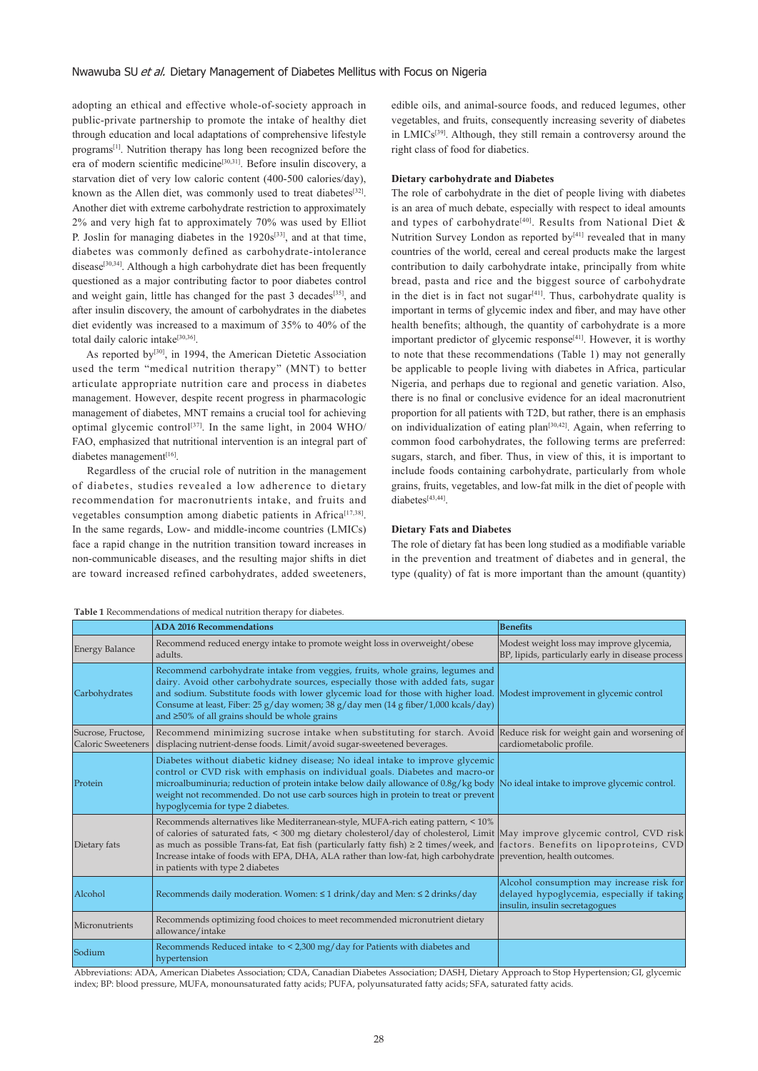adopting an ethical and effective whole-of-society approach in public-private partnership to promote the intake of healthy diet through education and local adaptations of comprehensive lifestyle programs[1]. Nutrition therapy has long been recognized before the era of modern scientific medicine<sup>[30,31]</sup>. Before insulin discovery, a starvation diet of very low caloric content (400-500 calories/day), known as the Allen diet, was commonly used to treat diabetes<sup>[32]</sup>. Another diet with extreme carbohydrate restriction to approximately 2% and very high fat to approximately 70% was used by Elliot P. Joslin for managing diabetes in the  $1920s^{[33]}$ , and at that time, diabetes was commonly defined as carbohydrate-intolerance disease<sup>[30,34]</sup>. Although a high carbohydrate diet has been frequently questioned as a major contributing factor to poor diabetes control and weight gain, little has changed for the past 3 decades<sup>[35]</sup>, and after insulin discovery, the amount of carbohydrates in the diabetes diet evidently was increased to a maximum of 35% to 40% of the total daily caloric intake<sup>[30,36]</sup>.

As reported by<sup>[30]</sup>, in 1994, the American Dietetic Association used the term "medical nutrition therapy" (MNT) to better articulate appropriate nutrition care and process in diabetes management. However, despite recent progress in pharmacologic management of diabetes, MNT remains a crucial tool for achieving optimal glycemic control<sup>[37]</sup>. In the same light, in 2004 WHO/ FAO, emphasized that nutritional intervention is an integral part of diabetes management[16].

 Regardless of the crucial role of nutrition in the management of diabetes, studies revealed a low adherence to dietary recommendation for macronutrients intake, and fruits and vegetables consumption among diabetic patients in Africa<sup>[17,38]</sup>. In the same regards, Low- and middle-income countries (LMICs) face a rapid change in the nutrition transition toward increases in non-communicable diseases, and the resulting major shifts in diet are toward increased refined carbohydrates, added sweeteners,

edible oils, and animal-source foods, and reduced legumes, other vegetables, and fruits, consequently increasing severity of diabetes in LMICs[39]. Although, they still remain a controversy around the right class of food for diabetics.

#### **Dietary carbohydrate and Diabetes**

The role of carbohydrate in the diet of people living with diabetes is an area of much debate, especially with respect to ideal amounts and types of carbohydrate<sup>[40]</sup>. Results from National Diet & Nutrition Survey London as reported by<sup>[41]</sup> revealed that in many countries of the world, cereal and cereal products make the largest contribution to daily carbohydrate intake, principally from white bread, pasta and rice and the biggest source of carbohydrate in the diet is in fact not sugar $[41]$ . Thus, carbohydrate quality is important in terms of glycemic index and fiber, and may have other health benefits; although, the quantity of carbohydrate is a more important predictor of glycemic response<sup>[41]</sup>. However, it is worthy to note that these recommendations (Table 1) may not generally be applicable to people living with diabetes in Africa, particular Nigeria, and perhaps due to regional and genetic variation. Also, there is no final or conclusive evidence for an ideal macronutrient proportion for all patients with T2D, but rather, there is an emphasis on individualization of eating plan<sup>[30,42]</sup>. Again, when referring to common food carbohydrates, the following terms are preferred: sugars, starch, and fiber. Thus, in view of this, it is important to include foods containing carbohydrate, particularly from whole grains, fruits, vegetables, and low-fat milk in the diet of people with diabetes<sup>[43,44]</sup>.

#### **Dietary Fats and Diabetes**

The role of dietary fat has been long studied as a modifiable variable in the prevention and treatment of diabetes and in general, the type (quality) of fat is more important than the amount (quantity)

**Table 1** Recommendations of medical nutrition therapy for diabetes.

|                                                 | <b>ADA 2016 Recommendations</b>                                                                                                                                                                                                                                                                                                                                                                                                                                                                               | <b>Benefits</b>                                                                                                           |
|-------------------------------------------------|---------------------------------------------------------------------------------------------------------------------------------------------------------------------------------------------------------------------------------------------------------------------------------------------------------------------------------------------------------------------------------------------------------------------------------------------------------------------------------------------------------------|---------------------------------------------------------------------------------------------------------------------------|
| <b>Energy Balance</b>                           | Recommend reduced energy intake to promote weight loss in overweight/obese<br>adults.                                                                                                                                                                                                                                                                                                                                                                                                                         | Modest weight loss may improve glycemia,<br>BP, lipids, particularly early in disease process                             |
| Carbohydrates                                   | Recommend carbohydrate intake from veggies, fruits, whole grains, legumes and<br>dairy. Avoid other carbohydrate sources, especially those with added fats, sugar<br>and sodium. Substitute foods with lower glycemic load for those with higher load. Modest improvement in glycemic control<br>Consume at least, Fiber: 25 g/day women; 38 g/day men (14 g fiber/1,000 kcals/day)<br>and $\geq$ 50% of all grains should be whole grains                                                                    |                                                                                                                           |
| Sucrose, Fructose,<br><b>Caloric Sweeteners</b> | Recommend minimizing sucrose intake when substituting for starch. Avoid Reduce risk for weight gain and worsening of<br>displacing nutrient-dense foods. Limit/avoid sugar-sweetened beverages.                                                                                                                                                                                                                                                                                                               | cardiometabolic profile.                                                                                                  |
| Protein                                         | Diabetes without diabetic kidney disease; No ideal intake to improve glycemic<br>control or CVD risk with emphasis on individual goals. Diabetes and macro-or<br>microalbuminuria; reduction of protein intake below daily allowance of 0.8g/kg body  No ideal intake to improve glycemic control.<br>weight not recommended. Do not use carb sources high in protein to treat or prevent<br>hypoglycemia for type 2 diabetes.                                                                                |                                                                                                                           |
| Dietary fats                                    | Recommends alternatives like Mediterranean-style, MUFA-rich eating pattern, < 10%<br>of calories of saturated fats, < 300 mg dietary cholesterol/day of cholesterol, Limit May improve glycemic control, CVD risk<br>as much as possible Trans-fat, Eat fish (particularly fatty fish) $\geq 2$ times/week, and factors. Benefits on lipoproteins, CVD<br>Increase intake of foods with EPA, DHA, ALA rather than low-fat, high carbohydrate prevention, health outcomes.<br>in patients with type 2 diabetes |                                                                                                                           |
| Alcohol                                         | Recommends daily moderation. Women: ≤ 1 drink/day and Men: ≤ 2 drinks/day                                                                                                                                                                                                                                                                                                                                                                                                                                     | Alcohol consumption may increase risk for<br>delayed hypoglycemia, especially if taking<br>insulin, insulin secretagogues |
| Micronutrients                                  | Recommends optimizing food choices to meet recommended micronutrient dietary<br>allowance/intake                                                                                                                                                                                                                                                                                                                                                                                                              |                                                                                                                           |
| Sodium                                          | Recommends Reduced intake to < 2,300 mg/day for Patients with diabetes and<br>hypertension                                                                                                                                                                                                                                                                                                                                                                                                                    |                                                                                                                           |

Abbreviations: ADA, American Diabetes Association; CDA, Canadian Diabetes Association; DASH, Dietary Approach to Stop Hypertension; GI, glycemic index; BP: blood pressure, MUFA, monounsaturated fatty acids; PUFA, polyunsaturated fatty acids; SFA, saturated fatty acids.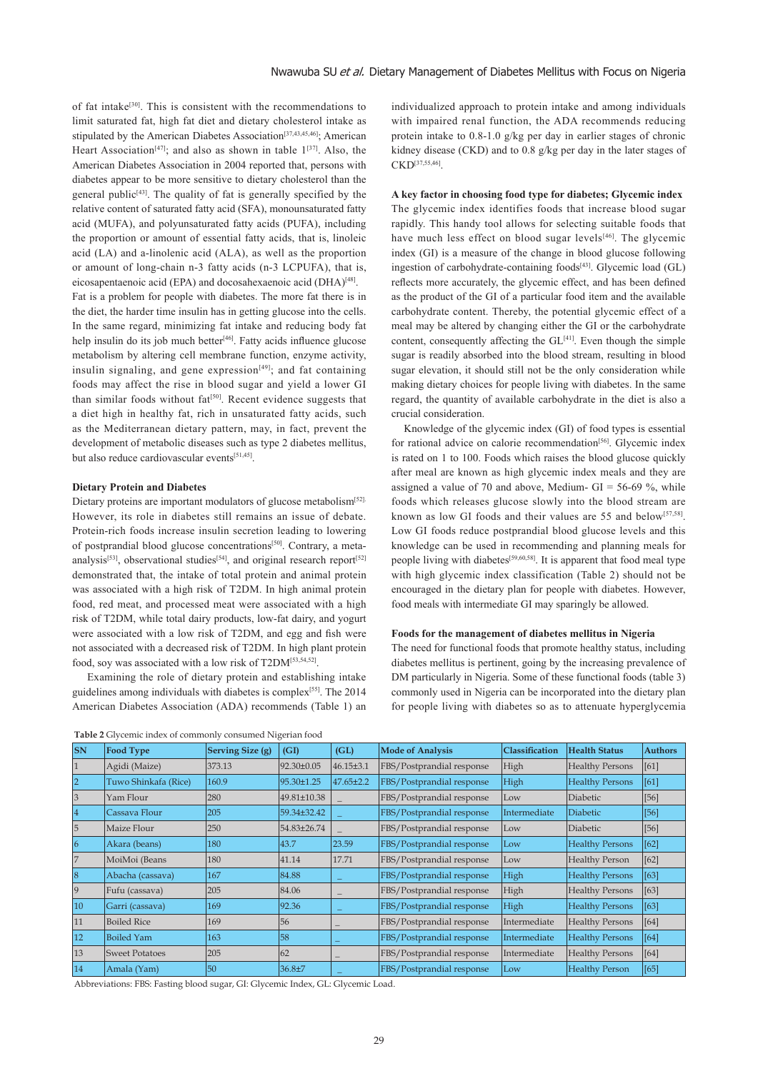of fat intake[30]. This is consistent with the recommendations to limit saturated fat, high fat diet and dietary cholesterol intake as stipulated by the American Diabetes Association<sup>[37,43,45,46]</sup>; American Heart Association<sup>[47]</sup>; and also as shown in table  $1^{[37]}$ . Also, the American Diabetes Association in 2004 reported that, persons with diabetes appear to be more sensitive to dietary cholesterol than the general public<sup>[43]</sup>. The quality of fat is generally specified by the relative content of saturated fatty acid (SFA), monounsaturated fatty acid (MUFA), and polyunsaturated fatty acids (PUFA), including the proportion or amount of essential fatty acids, that is, linoleic acid (LA) and a-linolenic acid (ALA), as well as the proportion or amount of long-chain n-3 fatty acids (n-3 LCPUFA), that is, eicosapentaenoic acid (EPA) and docosahexaenoic acid (DHA)<sup>[48]</sup>.

Fat is a problem for people with diabetes. The more fat there is in the diet, the harder time insulin has in getting glucose into the cells. In the same regard, minimizing fat intake and reducing body fat help insulin do its job much better<sup>[46]</sup>. Fatty acids influence glucose metabolism by altering cell membrane function, enzyme activity, insulin signaling, and gene expression $[49]$ ; and fat containing foods may affect the rise in blood sugar and yield a lower GI than similar foods without  $fat^{[50]}$ . Recent evidence suggests that a diet high in healthy fat, rich in unsaturated fatty acids, such as the Mediterranean dietary pattern, may, in fact, prevent the development of metabolic diseases such as type 2 diabetes mellitus. but also reduce cardiovascular events[51,45].

#### **Dietary Protein and Diabetes**

Dietary proteins are important modulators of glucose metabolism<sup>[52].</sup> However, its role in diabetes still remains an issue of debate. Protein-rich foods increase insulin secretion leading to lowering of postprandial blood glucose concentrations<sup>[50]</sup>. Contrary, a metaanalysis<sup>[53]</sup>, observational studies<sup>[54]</sup>, and original research report<sup>[52]</sup> demonstrated that, the intake of total protein and animal protein was associated with a high risk of T2DM. In high animal protein food, red meat, and processed meat were associated with a high risk of T2DM, while total dairy products, low-fat dairy, and yogurt were associated with a low risk of T2DM, and egg and fish were not associated with a decreased risk of T2DM. In high plant protein food, soy was associated with a low risk of T2DM<sup>[53,54,52]</sup>.

 Examining the role of dietary protein and establishing intake guidelines among individuals with diabetes is complex[55]. The 2014 American Diabetes Association (ADA) recommends (Table 1) an

individualized approach to protein intake and among individuals with impaired renal function, the ADA recommends reducing protein intake to 0.8-1.0 g/kg per day in earlier stages of chronic kidney disease (CKD) and to 0.8 g/kg per day in the later stages of CKD[37,55,46].

# **A key factor in choosing food type for diabetes; Glycemic index**

The glycemic index identifies foods that increase blood sugar rapidly. This handy tool allows for selecting suitable foods that have much less effect on blood sugar levels[46]. The glycemic index (GI) is a measure of the change in blood glucose following ingestion of carbohydrate-containing foods[43]. Glycemic load (GL) reflects more accurately, the glycemic effect, and has been defined as the product of the GI of a particular food item and the available carbohydrate content. Thereby, the potential glycemic effect of a meal may be altered by changing either the GI or the carbohydrate content, consequently affecting the  $GL<sup>[41]</sup>$ . Even though the simple sugar is readily absorbed into the blood stream, resulting in blood sugar elevation, it should still not be the only consideration while making dietary choices for people living with diabetes. In the same regard, the quantity of available carbohydrate in the diet is also a crucial consideration.

 Knowledge of the glycemic index (GI) of food types is essential for rational advice on calorie recommendation<sup>[56]</sup>. Glycemic index is rated on 1 to 100. Foods which raises the blood glucose quickly after meal are known as high glycemic index meals and they are assigned a value of 70 and above, Medium-  $GI = 56-69$ %, while foods which releases glucose slowly into the blood stream are known as low GI foods and their values are 55 and below<sup>[57,58]</sup>. Low GI foods reduce postprandial blood glucose levels and this knowledge can be used in recommending and planning meals for people living with diabetes<sup>[59,60,58]</sup>. It is apparent that food meal type with high glycemic index classification (Table 2) should not be encouraged in the dietary plan for people with diabetes. However, food meals with intermediate GI may sparingly be allowed.

#### **Foods for the management of diabetes mellitus in Nigeria**

The need for functional foods that promote healthy status, including diabetes mellitus is pertinent, going by the increasing prevalence of DM particularly in Nigeria. Some of these functional foods (table 3) commonly used in Nigeria can be incorporated into the dietary plan for people living with diabetes so as to attenuate hyperglycemia

| <b>SN</b>   | <b>Food Type</b>      | Serving Size (g) | (GI)        | (GL)                     | <b>Mode of Analysis</b>   | <b>Classification</b> | <b>Health Status</b>   | <b>Authors</b> |
|-------------|-----------------------|------------------|-------------|--------------------------|---------------------------|-----------------------|------------------------|----------------|
|             | Agidi (Maize)         | 373.13           | 92.30±0.05  | 46.15±3.1                | FBS/Postprandial response | High                  | <b>Healthy Persons</b> | [61]           |
| $ 2\rangle$ | Tuwo Shinkafa (Rice)  | 160.9            | 95.30±1.25  | 47.65±2.2                | FBS/Postprandial response | High                  | <b>Healthy Persons</b> | [61]           |
| 3           | Yam Flour             | 280              | 49.81±10.38 |                          | FBS/Postprandial response | Low                   | <b>Diabetic</b>        | $[56]$         |
| 4           | Cassava Flour         | 205              | 59.34±32.42 |                          | FBS/Postprandial response | Intermediate          | <b>Diabetic</b>        | [56]           |
| 5           | Maize Flour           | 250              | 54.83±26.74 |                          | FBS/Postprandial response | Low                   | <b>Diabetic</b>        | [56]           |
| 6           | Akara (beans)         | 180              | 43.7        | 23.59                    | FBS/Postprandial response | Low                   | <b>Healthy Persons</b> | [62]           |
| 17          | MoiMoi (Beans         | 180              | 41.14       | 17.71                    | FBS/Postprandial response | Low                   | <b>Healthy Person</b>  | [62]           |
| 8           | Abacha (cassava)      | 167              | 84.88       | $\overline{\phantom{m}}$ | FBS/Postprandial response | High                  | <b>Healthy Persons</b> | [63]           |
| $\vert$ 9   | Fufu (cassava)        | 205              | 84.06       | $\qquad \qquad -$        | FBS/Postprandial response | High                  | <b>Healthy Persons</b> | [63]           |
| 10          | Garri (cassava)       | 169              | 92.36       |                          | FBS/Postprandial response | High                  | <b>Healthy Persons</b> | [63]           |
| 11          | <b>Boiled Rice</b>    | 169              | 56          |                          | FBS/Postprandial response | Intermediate          | <b>Healthy Persons</b> | [64]           |
| 12          | <b>Boiled Yam</b>     | 163              | 58          |                          | FBS/Postprandial response | Intermediate          | <b>Healthy Persons</b> | [64]           |
| 13          | <b>Sweet Potatoes</b> | 205              | 62          |                          | FBS/Postprandial response | Intermediate          | <b>Healthy Persons</b> | [64]           |
| 14          | Amala (Yam)           | 50               | 36.8±7      |                          | FBS/Postprandial response | Low                   | <b>Healthy Person</b>  | [65]           |

Abbreviations: FBS: Fasting blood sugar, GI: Glycemic Index, GL: Glycemic Load.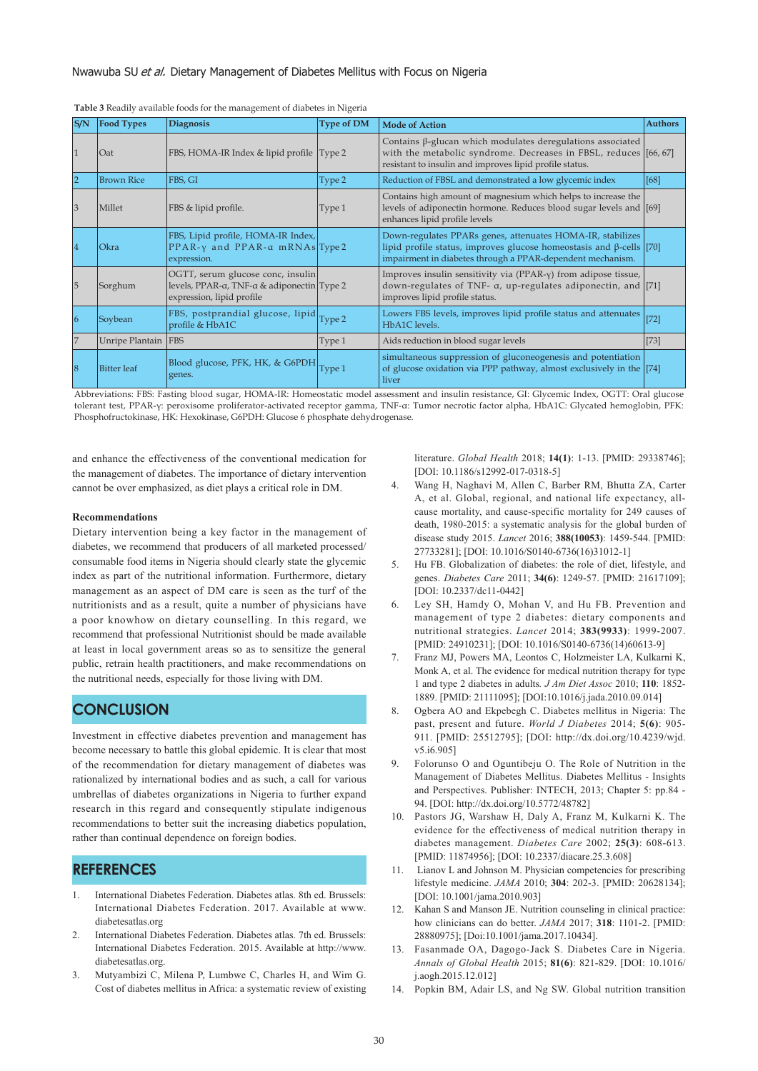| <b>S/N</b>     | <b>Food Types</b>   | <b>Diagnosis</b>                                                                                                              | <b>Type of DM</b> | <b>Mode of Action</b>                                                                                                                                                                                  | <b>Authors</b> |  |  |  |
|----------------|---------------------|-------------------------------------------------------------------------------------------------------------------------------|-------------------|--------------------------------------------------------------------------------------------------------------------------------------------------------------------------------------------------------|----------------|--|--|--|
|                | Oat                 | FBS, HOMA-IR Index & lipid profile Type 2                                                                                     |                   | Contains $\beta$ -glucan which modulates deregulations associated<br>with the metabolic syndrome. Decreases in FBSL, reduces [66, 67]<br>resistant to insulin and improves lipid profile status.       |                |  |  |  |
| $\overline{2}$ | <b>Brown Rice</b>   | FBS, GI                                                                                                                       | Type 2            | Reduction of FBSL and demonstrated a low glycemic index                                                                                                                                                | [68]           |  |  |  |
| 3              | Millet              | FBS & lipid profile.                                                                                                          | Type 1            | Contains high amount of magnesium which helps to increase the<br>levels of adiponectin hormone. Reduces blood sugar levels and [69]<br>enhances lipid profile levels                                   |                |  |  |  |
|                | Okra                | FBS, Lipid profile, HOMA-IR Index,<br>$PPAR-\gamma$ and $PPAR-\alpha$ mRNAs Type 2<br>expression.                             |                   | Down-regulates PPARs genes, attenuates HOMA-IR, stabilizes<br>lipid profile status, improves glucose homeostasis and $\beta$ -cells [70]<br>impairment in diabetes through a PPAR-dependent mechanism. |                |  |  |  |
| 5              | Sorghum             | OGTT, serum glucose conc, insulin<br>levels, PPAR- $\alpha$ , TNF- $\alpha$ & adiponectin Type 2<br>expression, lipid profile |                   | Improves insulin sensitivity via $(PPAR-\gamma)$ from adipose tissue,<br>down-regulates of TNF- $\alpha$ , up-regulates adiponectin, and [71]<br>improves lipid profile status.                        |                |  |  |  |
| 16             | Soybean             | FBS, postprandial glucose, lipid<br>profile & HbA1C                                                                           | Type 2            | Lowers FBS levels, improves lipid profile status and attenuates [72]<br>HbA1C levels.                                                                                                                  |                |  |  |  |
|                | Unripe Plantain FBS |                                                                                                                               | Type 1            | Aids reduction in blood sugar levels                                                                                                                                                                   | $\vert$ [73]   |  |  |  |
| 18             | <b>Bitter</b> leaf  | Blood glucose, PFK, HK, & G6PDH.<br>genes.                                                                                    | Type 1            | simultaneous suppression of gluconeogenesis and potentiation<br>of glucose oxidation via PPP pathway, almost exclusively in the [74]<br>liver                                                          |                |  |  |  |

**Table 3** Readily available foods for the management of diabetes in Nigeria

Abbreviations: FBS: Fasting blood sugar, HOMA-IR: Homeostatic model assessment and insulin resistance, GI: Glycemic Index, OGTT: Oral glucose tolerant test, PPAR-γ: peroxisome proliferator-activated receptor gamma, TNF-α: Tumor necrotic factor alpha, HbA1C: Glycated hemoglobin, PFK: Phosphofructokinase, HK: Hexokinase, G6PDH: Glucose 6 phosphate dehydrogenase.

and enhance the effectiveness of the conventional medication for the management of diabetes. The importance of dietary intervention cannot be over emphasized, as diet plays a critical role in DM.

#### **Recommendations**

Dietary intervention being a key factor in the management of diabetes, we recommend that producers of all marketed processed/ consumable food items in Nigeria should clearly state the glycemic index as part of the nutritional information. Furthermore, dietary management as an aspect of DM care is seen as the turf of the nutritionists and as a result, quite a number of physicians have a poor knowhow on dietary counselling. In this regard, we recommend that professional Nutritionist should be made available at least in local government areas so as to sensitize the general public, retrain health practitioners, and make recommendations on the nutritional needs, especially for those living with DM.

### **CONCLUSION**

Investment in effective diabetes prevention and management has become necessary to battle this global epidemic. It is clear that most of the recommendation for dietary management of diabetes was rationalized by international bodies and as such, a call for various umbrellas of diabetes organizations in Nigeria to further expand research in this regard and consequently stipulate indigenous recommendations to better suit the increasing diabetics population, rather than continual dependence on foreign bodies.

## **REFERENCES**

- 1. International Diabetes Federation. Diabetes atlas. 8th ed. Brussels: International Diabetes Federation. 2017. Available at www. diabetesatlas.org
- 2. International Diabetes Federation. Diabetes atlas. 7th ed. Brussels: International Diabetes Federation. 2015. Available at http://www. diabetesatlas.org.
- 3. Mutyambizi C, Milena P, Lumbwe C, Charles H, and Wim G. Cost of diabetes mellitus in Africa: a systematic review of existing

literature. *Global Health* 2018; **14(1)**: 1-13. [PMID: 29338746]; [DOI: 10.1186/s12992-017-0318-5]

- 4. Wang H, Naghavi M, Allen C, Barber RM, Bhutta ZA, Carter A, et al. Global, regional, and national life expectancy, allcause mortality, and cause-specific mortality for 249 causes of death, 1980-2015: a systematic analysis for the global burden of disease study 2015. *Lancet* 2016; **388(10053)**: 1459-544. [PMID: 27733281]; [DOI: 10.1016/S0140-6736(16)31012-1]
- 5. Hu FB. Globalization of diabetes: the role of diet, lifestyle, and genes. *Diabetes Care* 2011; **34(6)**: 1249-57. [PMID: 21617109]; [DOI: 10.2337/dc11-0442]
- 6. Ley SH, Hamdy O, Mohan V, and Hu FB. Prevention and management of type 2 diabetes: dietary components and nutritional strategies. *Lancet* 2014; **383(9933)**: 1999-2007. [PMID: 24910231]; [DOI: 10.1016/S0140-6736(14)60613-9]
- 7. Franz MJ, Powers MA, Leontos C, Holzmeister LA, Kulkarni K, Monk A, et al. The evidence for medical nutrition therapy for type 1 and type 2 diabetes in adults*. J Am Diet Assoc* 2010; **110**: 1852- 1889. [PMID: 21111095]; [DOI:10.1016/j.jada.2010.09.014]
- 8. Ogbera AO and Ekpebegh C. Diabetes mellitus in Nigeria: The past, present and future. *World J Diabetes* 2014; **5(6)**: 905- 911. [PMID: 25512795]; [DOI: http://dx.doi.org/10.4239/wjd. v5.i6.905]
- 9. Folorunso O and Oguntibeju O. The Role of Nutrition in the Management of Diabetes Mellitus. Diabetes Mellitus - Insights and Perspectives. Publisher: INTECH, 2013; Chapter 5: pp.84 - 94. [DOI: http://dx.doi.org/10.5772/48782]
- 10. Pastors JG, Warshaw H, Daly A, Franz M, Kulkarni K. The evidence for the effectiveness of medical nutrition therapy in diabetes management. *Diabetes Care* 2002; **25(3)**: 608-613. [PMID: 11874956]; [DOI: 10.2337/diacare.25.3.608]
- 11. Lianov L and Johnson M. Physician competencies for prescribing lifestyle medicine. *JAMA* 2010; **304**: 202-3. [PMID: 20628134]; [DOI: 10.1001/jama.2010.903]
- 12. Kahan S and Manson JE. Nutrition counseling in clinical practice: how clinicians can do better. *JAMA* 2017; **318**: 1101-2. [PMID: 28880975]; [Doi:10.1001/jama.2017.10434].
- 13. Fasanmade OA, Dagogo-Jack S. Diabetes Care in Nigeria. *Annals of Global Health* 2015; **81(6)**: 821-829. [DOI: 10.1016/ j.aogh.2015.12.012]
- 14. Popkin BM, Adair LS, and Ng SW. Global nutrition transition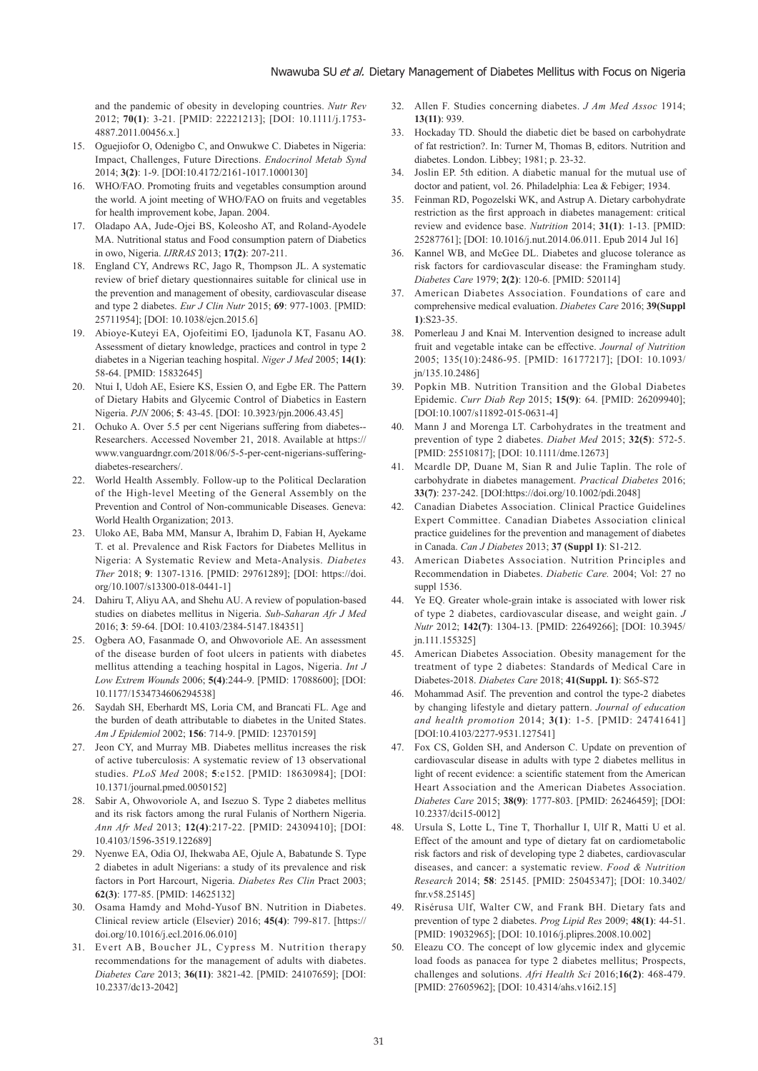and the pandemic of obesity in developing countries. *Nutr Rev*  2012; **70(1)**: 3-21. [PMID: 22221213]; [DOI: 10.1111/j.1753- 4887.2011.00456.x.]

- 15. Oguejiofor O, Odenigbo C, and Onwukwe C. Diabetes in Nigeria: Impact, Challenges, Future Directions. *Endocrinol Metab Synd*  2014; **3(2)**: 1-9. [DOI:10.4172/2161-1017.1000130]
- 16. WHO/FAO. Promoting fruits and vegetables consumption around the world. A joint meeting of WHO/FAO on fruits and vegetables for health improvement kobe, Japan. 2004.
- 17. Oladapo AA, Jude-Ojei BS, Koleosho AT, and Roland-Ayodele MA. Nutritional status and Food consumption patern of Diabetics in owo, Nigeria. *IJRRAS* 2013; **17(2)**: 207-211.
- 18. England CY, Andrews RC, Jago R, Thompson JL. A systematic review of brief dietary questionnaires suitable for clinical use in the prevention and management of obesity, cardiovascular disease and type 2 diabetes. *Eur J Clin Nutr* 2015; **69**: 977-1003. [PMID: 25711954]; [DOI: 10.1038/ejcn.2015.6]
- 19. Abioye-Kuteyi EA, Ojofeitimi EO, Ijadunola KT, Fasanu AO. Assessment of dietary knowledge, practices and control in type 2 diabetes in a Nigerian teaching hospital. *Niger J Med* 2005; **14(1)**: 58-64. [PMID: 15832645]
- 20. Ntui I, Udoh AE, Esiere KS, Essien O, and Egbe ER. The Pattern of Dietary Habits and Glycemic Control of Diabetics in Eastern Nigeria. *PJN* 2006; **5**: 43-45. [DOI: 10.3923/pjn.2006.43.45]
- 21. Ochuko A. Over 5.5 per cent Nigerians suffering from diabetes-- Researchers. Accessed November 21, 2018. Available at https:// www.vanguardngr.com/2018/06/5-5-per-cent-nigerians-sufferingdiabetes-researchers/.
- 22. World Health Assembly. Follow-up to the Political Declaration of the High-level Meeting of the General Assembly on the Prevention and Control of Non-communicable Diseases. Geneva: World Health Organization; 2013.
- 23. Uloko AE, Baba MM, Mansur A, Ibrahim D, Fabian H, Ayekame T. et al. Prevalence and Risk Factors for Diabetes Mellitus in Nigeria: A Systematic Review and Meta-Analysis. *Diabetes Ther* 2018; **9**: 1307-1316. [PMID: 29761289]; [DOI: https://doi. org/10.1007/s13300-018-0441-1]
- 24. Dahiru T, Aliyu AA, and Shehu AU. A review of population-based studies on diabetes mellitus in Nigeria. *Sub-Saharan Afr J Med*  2016; **3**: 59-64. [DOI: 10.4103/2384-5147.184351]
- 25. Ogbera AO, Fasanmade O, and Ohwovoriole AE. An assessment of the disease burden of foot ulcers in patients with diabetes mellitus attending a teaching hospital in Lagos, Nigeria. *Int J Low Extrem Wounds* 2006; **5(4)**:244-9. [PMID: 17088600]; [DOI: 10.1177/1534734606294538]
- 26. Saydah SH, Eberhardt MS, Loria CM, and Brancati FL. Age and the burden of death attributable to diabetes in the United States. *Am J Epidemiol* 2002; **156**: 714-9. [PMID: 12370159]
- 27. Jeon CY, and Murray MB. Diabetes mellitus increases the risk of active tuberculosis: A systematic review of 13 observational studies. *PLoS Med* 2008; **5**:e152. [PMID: 18630984]; [DOI: 10.1371/journal.pmed.0050152]
- 28. Sabir A, Ohwovoriole A, and Isezuo S. Type 2 diabetes mellitus and its risk factors among the rural Fulanis of Northern Nigeria. *Ann Afr Med* 2013; **12(4)**:217-22. [PMID: 24309410]; [DOI: 10.4103/1596-3519.122689]
- 29. Nyenwe EA, Odia OJ, Ihekwaba AE, Ojule A, Babatunde S. Type 2 diabetes in adult Nigerians: a study of its prevalence and risk factors in Port Harcourt, Nigeria. *Diabetes Res Clin* Pract 2003; **62(3)**: 177-85. [PMID: 14625132]
- 30. Osama Hamdy and Mohd-Yusof BN. Nutrition in Diabetes. Clinical review article (Elsevier) 2016; **45(4)**: 799-817. [https:// doi.org/10.1016/j.ecl.2016.06.010]
- 31. Evert AB, Boucher JL, Cypress M. Nutrition therapy recommendations for the management of adults with diabetes. *Diabetes Care* 2013; **36(11)**: 3821-42. [PMID: 24107659]; [DOI: 10.2337/dc13-2042]
- 32. Allen F. Studies concerning diabetes. *J Am Med Assoc* 1914; **13(11)**: 939.
- 33. Hockaday TD. Should the diabetic diet be based on carbohydrate of fat restriction?. In: Turner M, Thomas B, editors. Nutrition and diabetes. London. Libbey; 1981; p. 23-32.
- 34. Joslin EP. 5th edition. A diabetic manual for the mutual use of doctor and patient, vol. 26. Philadelphia: Lea & Febiger; 1934.
- 35. Feinman RD, Pogozelski WK, and Astrup A. Dietary carbohydrate restriction as the first approach in diabetes management: critical review and evidence base. *Nutrition* 2014; **31(1)**: 1-13. [PMID: 25287761]; [DOI: 10.1016/j.nut.2014.06.011. Epub 2014 Jul 16]
- 36. Kannel WB, and McGee DL. Diabetes and glucose tolerance as risk factors for cardiovascular disease: the Framingham study. *Diabetes Care* 1979; **2(2)**: 120-6. [PMID: 520114]
- 37. American Diabetes Association. Foundations of care and comprehensive medical evaluation. *Diabetes Care* 2016; **39(Suppl 1)**:S23-35.
- 38. Pomerleau J and Knai M. Intervention designed to increase adult fruit and vegetable intake can be effective. *Journal of Nutrition*  2005; 135(10):2486-95. [PMID: 16177217]; [DOI: 10.1093/ jn/135.10.2486]
- 39. Popkin MB. Nutrition Transition and the Global Diabetes Epidemic. *Curr Diab Rep* 2015; **15(9)**: 64. [PMID: 26209940]; [DOI:10.1007/s11892-015-0631-4]
- 40. Mann J and Morenga LT. Carbohydrates in the treatment and prevention of type 2 diabetes. *Diabet Med* 2015; **32(5)**: 572-5. [PMID: 25510817]; [DOI: 10.1111/dme.12673]
- 41. Mcardle DP, Duane M, Sian R and Julie Taplin. The role of carbohydrate in diabetes management. *Practical Diabetes* 2016; **33(7)**: 237-242. [DOI:https://doi.org/10.1002/pdi.2048]
- 42. Canadian Diabetes Association. Clinical Practice Guidelines Expert Committee. Canadian Diabetes Association clinical practice guidelines for the prevention and management of diabetes in Canada. *Can J Diabetes* 2013; **37 (Suppl 1)**: S1-212.
- 43. American Diabetes Association. Nutrition Principles and Recommendation in Diabetes. *Diabetic Care.* 2004; Vol: 27 no suppl 1536.
- 44. Ye EQ. Greater whole-grain intake is associated with lower risk of type 2 diabetes, cardiovascular disease, and weight gain. *J Nutr* 2012; **142(7)**: 1304-13. [PMID: 22649266]; [DOI: 10.3945/ jn.111.155325]
- 45. American Diabetes Association. Obesity management for the treatment of type 2 diabetes: Standards of Medical Care in Diabetes-2018. *Diabetes Care* 2018; **41(Suppl. 1)**: S65-S72
- 46. Mohammad Asif. The prevention and control the type-2 diabetes by changing lifestyle and dietary pattern. *Journal of education and health promotion* 2014; **3(1)**: 1-5. [PMID: 24741641] [DOI:10.4103/2277-9531.127541]
- 47. Fox CS, Golden SH, and Anderson C. Update on prevention of cardiovascular disease in adults with type 2 diabetes mellitus in light of recent evidence: a scientific statement from the American Heart Association and the American Diabetes Association. *Diabetes Care* 2015; **38(9)**: 1777-803. [PMID: 26246459]; [DOI: 10.2337/dci15-0012]
- 48. Ursula S, Lotte L, Tine T, Thorhallur I, Ulf R, Matti U et al. Effect of the amount and type of dietary fat on cardiometabolic risk factors and risk of developing type 2 diabetes, cardiovascular diseases, and cancer: a systematic review. *Food & Nutrition Research* 2014; **58**: 25145. [PMID: 25045347]; [DOI: 10.3402/ fnr.v58.25145]
- 49. Risérusa Ulf, Walter CW, and Frank BH. Dietary fats and prevention of type 2 diabetes. *Prog Lipid Res* 2009; **48(1)**: 44-51. [PMID: 19032965]; [DOI: 10.1016/j.plipres.2008.10.002]
- 50. Eleazu CO. The concept of low glycemic index and glycemic load foods as panacea for type 2 diabetes mellitus; Prospects, challenges and solutions. *Afri Health Sci* 2016;**16(2)**: 468-479. [PMID: 27605962]; [DOI: 10.4314/ahs.v16i2.15]